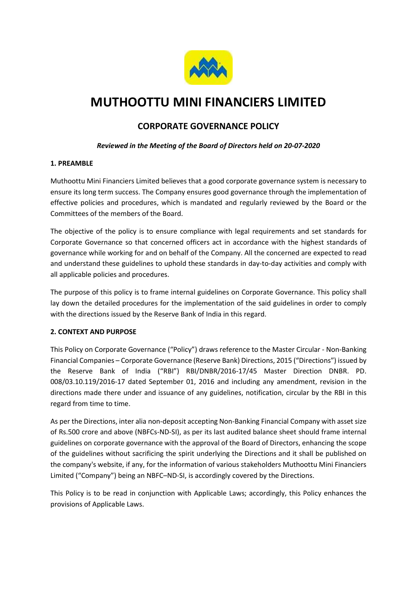

# MUTHOOTTU MINI FINANCIERS LIMITED

# CORPORATE GOVERNANCE POLICY

# Reviewed in the Meeting of the Board of Directors held on 20-07-2020

# 1. PREAMBLE

Muthoottu Mini Financiers Limited believes that a good corporate governance system is necessary to ensure its long term success. The Company ensures good governance through the implementation of effective policies and procedures, which is mandated and regularly reviewed by the Board or the Committees of the members of the Board.

The objective of the policy is to ensure compliance with legal requirements and set standards for Corporate Governance so that concerned officers act in accordance with the highest standards of governance while working for and on behalf of the Company. All the concerned are expected to read and understand these guidelines to uphold these standards in day-to-day activities and comply with all applicable policies and procedures.

The purpose of this policy is to frame internal guidelines on Corporate Governance. This policy shall lay down the detailed procedures for the implementation of the said guidelines in order to comply with the directions issued by the Reserve Bank of India in this regard.

# 2. CONTEXT AND PURPOSE

This Policy on Corporate Governance ("Policy") draws reference to the Master Circular - Non-Banking Financial Companies – Corporate Governance (Reserve Bank) Directions, 2015 ("Directions") issued by the Reserve Bank of India ("RBI") RBI/DNBR/2016-17/45 Master Direction DNBR. PD. 008/03.10.119/2016-17 dated September 01, 2016 and including any amendment, revision in the directions made there under and issuance of any guidelines, notification, circular by the RBI in this regard from time to time.

As per the Directions, inter alia non-deposit accepting Non-Banking Financial Company with asset size of Rs.500 crore and above (NBFCs-ND-SI), as per its last audited balance sheet should frame internal guidelines on corporate governance with the approval of the Board of Directors, enhancing the scope of the guidelines without sacrificing the spirit underlying the Directions and it shall be published on the company's website, if any, for the information of various stakeholders Muthoottu Mini Financiers Limited ("Company") being an NBFC–ND-SI, is accordingly covered by the Directions.

This Policy is to be read in conjunction with Applicable Laws; accordingly, this Policy enhances the provisions of Applicable Laws.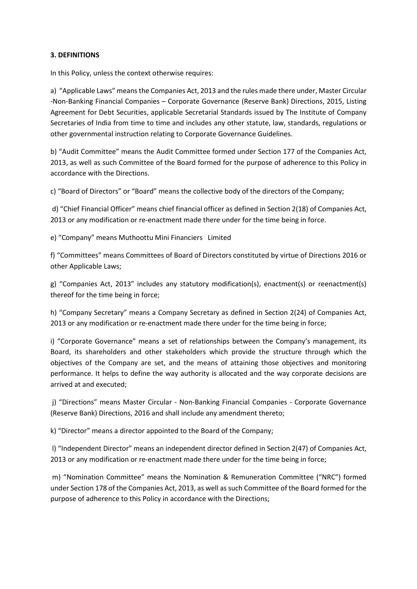#### 3. DEFINITIONS

In this Policy, unless the context otherwise requires:

a) "Applicable Laws" means the Companies Act, 2013 and the rules made there under, Master Circular -Non-Banking Financial Companies – Corporate Governance (Reserve Bank) Directions, 2015, Listing Agreement for Debt Securities, applicable Secretarial Standards issued by The Institute of Company Secretaries of India from time to time and includes any other statute, law, standards, regulations or other governmental instruction relating to Corporate Governance Guidelines.

b) "Audit Committee" means the Audit Committee formed under Section 177 of the Companies Act, 2013, as well as such Committee of the Board formed for the purpose of adherence to this Policy in accordance with the Directions.

c) "Board of Directors" or "Board" means the collective body of the directors of the Company;

 d) "Chief Financial Officer" means chief financial officer as defined in Section 2(18) of Companies Act, 2013 or any modification or re-enactment made there under for the time being in force.

e) "Company" means Muthoottu Mini Financiers Limited

f) "Committees" means Committees of Board of Directors constituted by virtue of Directions 2016 or other Applicable Laws;

g) "Companies Act, 2013" includes any statutory modification(s), enactment(s) or reenactment(s) thereof for the time being in force;

h) "Company Secretary" means a Company Secretary as defined in Section 2(24) of Companies Act, 2013 or any modification or re-enactment made there under for the time being in force;

i) "Corporate Governance" means a set of relationships between the Company's management, its Board, its shareholders and other stakeholders which provide the structure through which the objectives of the Company are set, and the means of attaining those objectives and monitoring performance. It helps to define the way authority is allocated and the way corporate decisions are arrived at and executed;

 j) "Directions" means Master Circular - Non-Banking Financial Companies - Corporate Governance (Reserve Bank) Directions, 2016 and shall include any amendment thereto;

k) "Director" means a director appointed to the Board of the Company;

 l) "Independent Director" means an independent director defined in Section 2(47) of Companies Act, 2013 or any modification or re-enactment made there under for the time being in force;

 m) "Nomination Committee" means the Nomination & Remuneration Committee ("NRC") formed under Section 178 of the Companies Act, 2013, as well as such Committee of the Board formed for the purpose of adherence to this Policy in accordance with the Directions;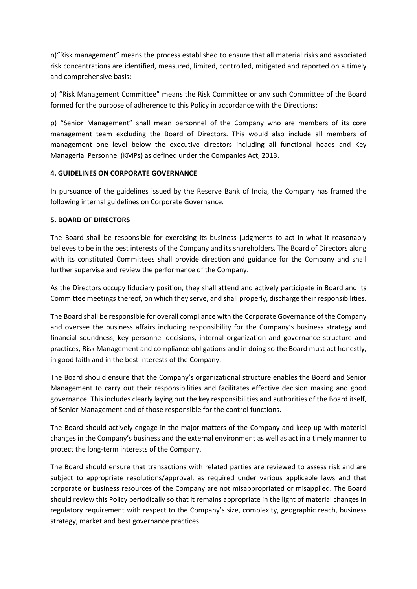n)"Risk management" means the process established to ensure that all material risks and associated risk concentrations are identified, measured, limited, controlled, mitigated and reported on a timely and comprehensive basis;

o) "Risk Management Committee" means the Risk Committee or any such Committee of the Board formed for the purpose of adherence to this Policy in accordance with the Directions;

p) "Senior Management" shall mean personnel of the Company who are members of its core management team excluding the Board of Directors. This would also include all members of management one level below the executive directors including all functional heads and Key Managerial Personnel (KMPs) as defined under the Companies Act, 2013.

#### 4. GUIDELINES ON CORPORATE GOVERNANCE

In pursuance of the guidelines issued by the Reserve Bank of India, the Company has framed the following internal guidelines on Corporate Governance.

#### 5. BOARD OF DIRECTORS

The Board shall be responsible for exercising its business judgments to act in what it reasonably believes to be in the best interests of the Company and its shareholders. The Board of Directors along with its constituted Committees shall provide direction and guidance for the Company and shall further supervise and review the performance of the Company.

As the Directors occupy fiduciary position, they shall attend and actively participate in Board and its Committee meetings thereof, on which they serve, and shall properly, discharge their responsibilities.

The Board shall be responsible for overall compliance with the Corporate Governance of the Company and oversee the business affairs including responsibility for the Company's business strategy and financial soundness, key personnel decisions, internal organization and governance structure and practices, Risk Management and compliance obligations and in doing so the Board must act honestly, in good faith and in the best interests of the Company.

The Board should ensure that the Company's organizational structure enables the Board and Senior Management to carry out their responsibilities and facilitates effective decision making and good governance. This includes clearly laying out the key responsibilities and authorities of the Board itself, of Senior Management and of those responsible for the control functions.

The Board should actively engage in the major matters of the Company and keep up with material changes in the Company's business and the external environment as well as act in a timely manner to protect the long-term interests of the Company.

The Board should ensure that transactions with related parties are reviewed to assess risk and are subject to appropriate resolutions/approval, as required under various applicable laws and that corporate or business resources of the Company are not misappropriated or misapplied. The Board should review this Policy periodically so that it remains appropriate in the light of material changes in regulatory requirement with respect to the Company's size, complexity, geographic reach, business strategy, market and best governance practices.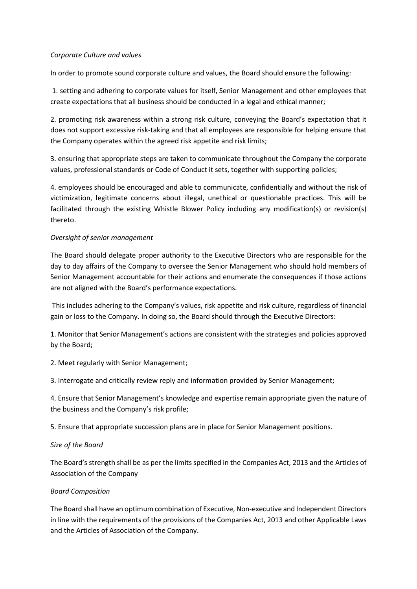#### Corporate Culture and values

In order to promote sound corporate culture and values, the Board should ensure the following:

 1. setting and adhering to corporate values for itself, Senior Management and other employees that create expectations that all business should be conducted in a legal and ethical manner;

2. promoting risk awareness within a strong risk culture, conveying the Board's expectation that it does not support excessive risk-taking and that all employees are responsible for helping ensure that the Company operates within the agreed risk appetite and risk limits;

3. ensuring that appropriate steps are taken to communicate throughout the Company the corporate values, professional standards or Code of Conduct it sets, together with supporting policies;

4. employees should be encouraged and able to communicate, confidentially and without the risk of victimization, legitimate concerns about illegal, unethical or questionable practices. This will be facilitated through the existing Whistle Blower Policy including any modification(s) or revision(s) thereto.

# Oversight of senior management

The Board should delegate proper authority to the Executive Directors who are responsible for the day to day affairs of the Company to oversee the Senior Management who should hold members of Senior Management accountable for their actions and enumerate the consequences if those actions are not aligned with the Board's performance expectations.

 This includes adhering to the Company's values, risk appetite and risk culture, regardless of financial gain or loss to the Company. In doing so, the Board should through the Executive Directors:

1. Monitor that Senior Management's actions are consistent with the strategies and policies approved by the Board;

2. Meet regularly with Senior Management;

3. Interrogate and critically review reply and information provided by Senior Management;

4. Ensure that Senior Management's knowledge and expertise remain appropriate given the nature of the business and the Company's risk profile;

5. Ensure that appropriate succession plans are in place for Senior Management positions.

# Size of the Board

The Board's strength shall be as per the limits specified in the Companies Act, 2013 and the Articles of Association of the Company

# Board Composition

The Board shall have an optimum combination of Executive, Non-executive and Independent Directors in line with the requirements of the provisions of the Companies Act, 2013 and other Applicable Laws and the Articles of Association of the Company.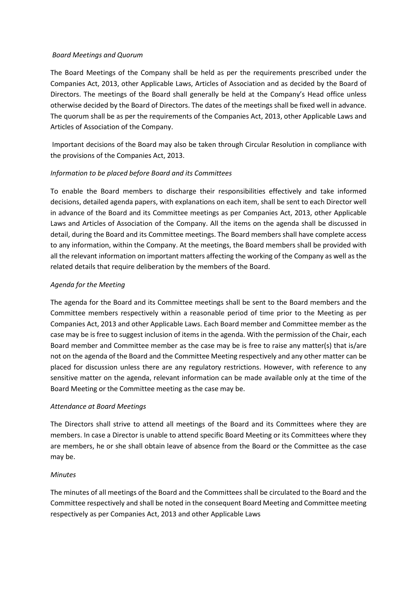#### Board Meetings and Quorum

The Board Meetings of the Company shall be held as per the requirements prescribed under the Companies Act, 2013, other Applicable Laws, Articles of Association and as decided by the Board of Directors. The meetings of the Board shall generally be held at the Company's Head office unless otherwise decided by the Board of Directors. The dates of the meetings shall be fixed well in advance. The quorum shall be as per the requirements of the Companies Act, 2013, other Applicable Laws and Articles of Association of the Company.

 Important decisions of the Board may also be taken through Circular Resolution in compliance with the provisions of the Companies Act, 2013.

#### Information to be placed before Board and its Committees

To enable the Board members to discharge their responsibilities effectively and take informed decisions, detailed agenda papers, with explanations on each item, shall be sent to each Director well in advance of the Board and its Committee meetings as per Companies Act, 2013, other Applicable Laws and Articles of Association of the Company. All the items on the agenda shall be discussed in detail, during the Board and its Committee meetings. The Board members shall have complete access to any information, within the Company. At the meetings, the Board members shall be provided with all the relevant information on important matters affecting the working of the Company as well as the related details that require deliberation by the members of the Board.

#### Agenda for the Meeting

The agenda for the Board and its Committee meetings shall be sent to the Board members and the Committee members respectively within a reasonable period of time prior to the Meeting as per Companies Act, 2013 and other Applicable Laws. Each Board member and Committee member as the case may be is free to suggest inclusion of items in the agenda. With the permission of the Chair, each Board member and Committee member as the case may be is free to raise any matter(s) that is/are not on the agenda of the Board and the Committee Meeting respectively and any other matter can be placed for discussion unless there are any regulatory restrictions. However, with reference to any sensitive matter on the agenda, relevant information can be made available only at the time of the Board Meeting or the Committee meeting as the case may be.

#### Attendance at Board Meetings

The Directors shall strive to attend all meetings of the Board and its Committees where they are members. In case a Director is unable to attend specific Board Meeting or its Committees where they are members, he or she shall obtain leave of absence from the Board or the Committee as the case may be.

#### **Minutes**

The minutes of all meetings of the Board and the Committees shall be circulated to the Board and the Committee respectively and shall be noted in the consequent Board Meeting and Committee meeting respectively as per Companies Act, 2013 and other Applicable Laws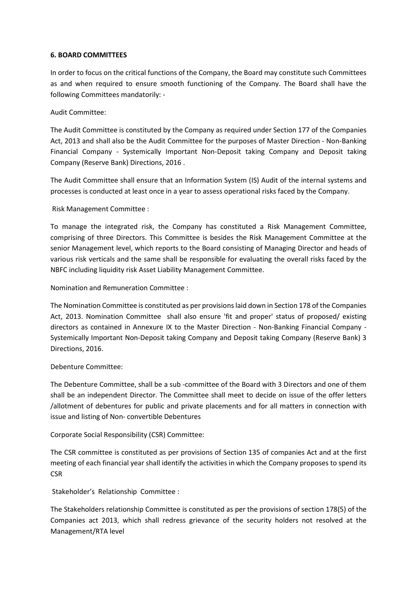#### 6. BOARD COMMITTEES

In order to focus on the critical functions of the Company, the Board may constitute such Committees as and when required to ensure smooth functioning of the Company. The Board shall have the following Committees mandatorily: -

#### Audit Committee:

The Audit Committee is constituted by the Company as required under Section 177 of the Companies Act, 2013 and shall also be the Audit Committee for the purposes of Master Direction - Non-Banking Financial Company - Systemically Important Non-Deposit taking Company and Deposit taking Company (Reserve Bank) Directions, 2016 .

The Audit Committee shall ensure that an Information System (IS) Audit of the internal systems and processes is conducted at least once in a year to assess operational risks faced by the Company.

Risk Management Committee :

To manage the integrated risk, the Company has constituted a Risk Management Committee, comprising of three Directors. This Committee is besides the Risk Management Committee at the senior Management level, which reports to the Board consisting of Managing Director and heads of various risk verticals and the same shall be responsible for evaluating the overall risks faced by the NBFC including liquidity risk Asset Liability Management Committee.

Nomination and Remuneration Committee :

The Nomination Committee is constituted as per provisions laid down in Section 178 of the Companies Act, 2013. Nomination Committee shall also ensure 'fit and proper' status of proposed/ existing directors as contained in Annexure IX to the Master Direction - Non-Banking Financial Company - Systemically Important Non-Deposit taking Company and Deposit taking Company (Reserve Bank) 3 Directions, 2016.

#### Debenture Committee:

The Debenture Committee, shall be a sub -committee of the Board with 3 Directors and one of them shall be an independent Director. The Committee shall meet to decide on issue of the offer letters /allotment of debentures for public and private placements and for all matters in connection with issue and listing of Non- convertible Debentures

Corporate Social Responsibility (CSR) Committee:

The CSR committee is constituted as per provisions of Section 135 of companies Act and at the first meeting of each financial year shall identify the activities in which the Company proposes to spend its CSR

Stakeholder's Relationship Committee :

The Stakeholders relationship Committee is constituted as per the provisions of section 178(5) of the Companies act 2013, which shall redress grievance of the security holders not resolved at the Management/RTA level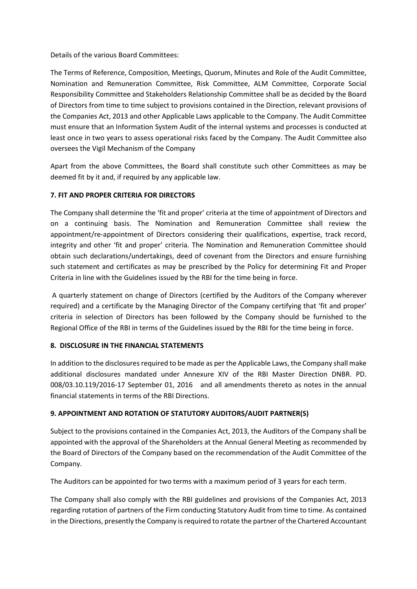Details of the various Board Committees:

The Terms of Reference, Composition, Meetings, Quorum, Minutes and Role of the Audit Committee, Nomination and Remuneration Committee, Risk Committee, ALM Committee, Corporate Social Responsibility Committee and Stakeholders Relationship Committee shall be as decided by the Board of Directors from time to time subject to provisions contained in the Direction, relevant provisions of the Companies Act, 2013 and other Applicable Laws applicable to the Company. The Audit Committee must ensure that an Information System Audit of the internal systems and processes is conducted at least once in two years to assess operational risks faced by the Company. The Audit Committee also oversees the Vigil Mechanism of the Company

Apart from the above Committees, the Board shall constitute such other Committees as may be deemed fit by it and, if required by any applicable law.

# 7. FIT AND PROPER CRITERIA FOR DIRECTORS

The Company shall determine the 'fit and proper' criteria at the time of appointment of Directors and on a continuing basis. The Nomination and Remuneration Committee shall review the appointment/re-appointment of Directors considering their qualifications, expertise, track record, integrity and other 'fit and proper' criteria. The Nomination and Remuneration Committee should obtain such declarations/undertakings, deed of covenant from the Directors and ensure furnishing such statement and certificates as may be prescribed by the Policy for determining Fit and Proper Criteria in line with the Guidelines issued by the RBI for the time being in force.

 A quarterly statement on change of Directors (certified by the Auditors of the Company wherever required) and a certificate by the Managing Director of the Company certifying that 'fit and proper' criteria in selection of Directors has been followed by the Company should be furnished to the Regional Office of the RBI in terms of the Guidelines issued by the RBI for the time being in force.

# 8. DISCLOSURE IN THE FINANCIAL STATEMENTS

In addition to the disclosures required to be made as per the Applicable Laws, the Company shall make additional disclosures mandated under Annexure XIV of the RBI Master Direction DNBR. PD. 008/03.10.119/2016-17 September 01, 2016 and all amendments thereto as notes in the annual financial statements in terms of the RBI Directions.

# 9. APPOINTMENT AND ROTATION OF STATUTORY AUDITORS/AUDIT PARTNER(S)

Subject to the provisions contained in the Companies Act, 2013, the Auditors of the Company shall be appointed with the approval of the Shareholders at the Annual General Meeting as recommended by the Board of Directors of the Company based on the recommendation of the Audit Committee of the Company.

The Auditors can be appointed for two terms with a maximum period of 3 years for each term.

The Company shall also comply with the RBI guidelines and provisions of the Companies Act, 2013 regarding rotation of partners of the Firm conducting Statutory Audit from time to time. As contained in the Directions, presently the Company is required to rotate the partner of the Chartered Accountant